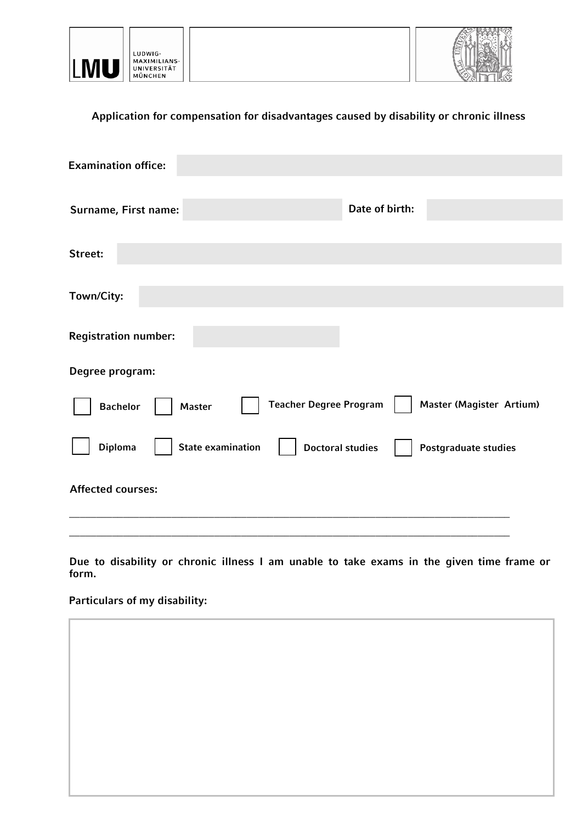

## **Application for compensation for disadvantages caused by disability or chronic illness**

| <b>Examination office:</b>                                                                    |  |
|-----------------------------------------------------------------------------------------------|--|
| Date of birth:<br>Surname, First name:                                                        |  |
| Street:                                                                                       |  |
| Town/City:                                                                                    |  |
| <b>Registration number:</b>                                                                   |  |
| Degree program:                                                                               |  |
| <b>Teacher Degree Program</b><br>Master (Magister Artium)<br><b>Bachelor</b><br><b>Master</b> |  |
| Diploma<br><b>State examination</b><br><b>Doctoral studies</b><br>Postgraduate studies        |  |
| <b>Affected courses:</b>                                                                      |  |
|                                                                                               |  |

**Due to disability or chronic illness I am unable to take exams in the given time frame or form.** 

## **Particulars of my disability:**